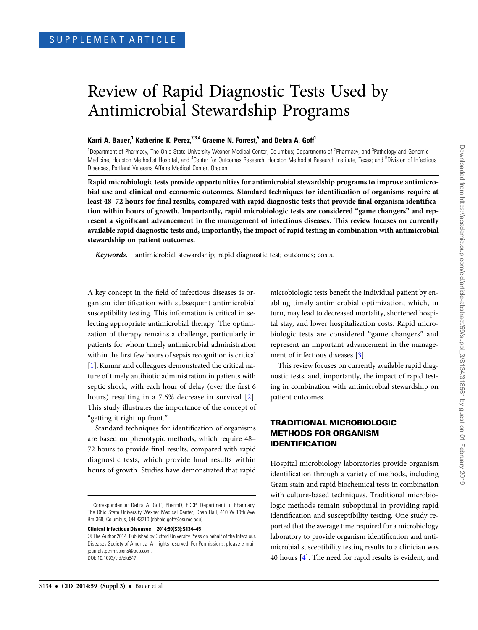# Review of Rapid Diagnostic Tests Used by Antimicrobial Stewardship Programs

## Karri A. Bauer,<sup>1</sup> Katherine K. Perez,<sup>2,3,4</sup> Graeme N. Forrest,<sup>5</sup> and Debra A. Goff<sup>1</sup>

<sup>1</sup>Department of Pharmacy, The Ohio State University Wexner Medical Center, Columbus; Departments of <sup>2</sup>Pharmacy, and <sup>3</sup>Pathology and Genomic Medicine, Houston Methodist Hospital, and <sup>4</sup>Center for Outcomes Research, Houston Methodist Research Institute, Texas; and <sup>5</sup>Division of Infectious Diseases, Portland Veterans Affairs Medical Center, Oregon

Rapid microbiologic tests provide opportunities for antimicrobial stewardship programs to improve antimicrobial use and clinical and economic outcomes. Standard techniques for identification of organisms require at least 48–72 hours for final results, compared with rapid diagnostic tests that provide final organism identification within hours of growth. Importantly, rapid microbiologic tests are considered "game changers" and represent a significant advancement in the management of infectious diseases. This review focuses on currently available rapid diagnostic tests and, importantly, the impact of rapid testing in combination with antimicrobial stewardship on patient outcomes.

Keywords. antimicrobial stewardship; rapid diagnostic test; outcomes; costs.

A key concept in the field of infectious diseases is organism identification with subsequent antimicrobial susceptibility testing. This information is critical in selecting appropriate antimicrobial therapy. The optimization of therapy remains a challenge, particularly in patients for whom timely antimicrobial administration within the first few hours of sepsis recognition is critical [\[1\]](#page-9-0). Kumar and colleagues demonstrated the critical nature of timely antibiotic administration in patients with septic shock, with each hour of delay (over the first 6 hours) resulting in a 7.6% decrease in survival [[2](#page-9-0)]. This study illustrates the importance of the concept of "getting it right up front."

Standard techniques for identification of organisms are based on phenotypic methods, which require 48– 72 hours to provide final results, compared with rapid diagnostic tests, which provide final results within hours of growth. Studies have demonstrated that rapid

Clinical Infectious Diseases 2014;59(S3):S134–45

microbiologic tests benefit the individual patient by enabling timely antimicrobial optimization, which, in turn, may lead to decreased mortality, shortened hospital stay, and lower hospitalization costs. Rapid microbiologic tests are considered "game changers" and represent an important advancement in the management of infectious diseases [[3](#page-9-0)].

This review focuses on currently available rapid diagnostic tests, and, importantly, the impact of rapid testing in combination with antimicrobial stewardship on patient outcomes.

# TRADITIONAL MICROBIOLOGIC METHODS FOR ORGANISM IDENTIFICATION

Hospital microbiology laboratories provide organism identification through a variety of methods, including Gram stain and rapid biochemical tests in combination with culture-based techniques. Traditional microbiologic methods remain suboptimal in providing rapid identification and susceptibility testing. One study reported that the average time required for a microbiology laboratory to provide organism identification and antimicrobial susceptibility testing results to a clinician was 40 hours [\[4\]](#page-9-0). The need for rapid results is evident, and

Correspondence: Debra A. Goff, PharmD, FCCP, Department of Pharmacy, The Ohio State University Wexner Medical Center, Doan Hall, 410 W 10th Ave, Rm 368, Columbus, OH 43210 [\(debbie.goff@osumc.edu\)](mailto:debbie.goff@osumc.edu).

<sup>©</sup> The Author 2014. Published by Oxford University Press on behalf of the Infectious Diseases Society of America. All rights reserved. For Permissions, please e-mail: [journals.permissions@oup.com](mailto:journals.permissions@oup.com). DOI: 10.1093/cid/ciu547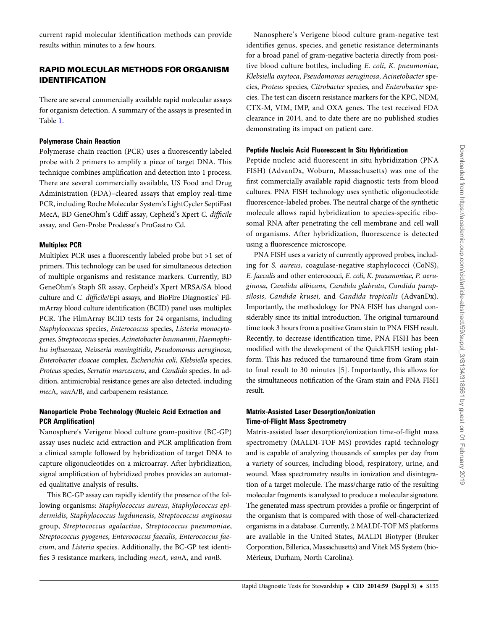current rapid molecular identification methods can provide results within minutes to a few hours.

# RAPID MOLECULAR METHODS FOR ORGANISM IDENTIFICATION

There are several commercially available rapid molecular assays for organism detection. A summary of the assays is presented in Table [1](#page-2-0).

#### Polymerase Chain Reaction

Polymerase chain reaction (PCR) uses a fluorescently labeled probe with 2 primers to amplify a piece of target DNA. This technique combines amplification and detection into 1 process. There are several commercially available, US Food and Drug Administration (FDA)–cleared assays that employ real-time PCR, including Roche Molecular System's LightCycler SeptiFast MecA, BD GeneOhm's Cdiff assay, Cepheid's Xpert C. difficile assay, and Gen-Probe Prodesse's ProGastro Cd.

#### Multiplex PCR

Multiplex PCR uses a fluorescently labeled probe but >1 set of primers. This technology can be used for simultaneous detection of multiple organisms and resistance markers. Currently, BD GeneOhm's Staph SR assay, Cepheid's Xpert MRSA/SA blood culture and C. difficile/Epi assays, and BioFire Diagnostics' FilmArray blood culture identification (BCID) panel uses multiplex PCR. The FilmArray BCID tests for 24 organisms, including Staphylococcus species, Enterococcus species, Listeria monocytogenes, Streptococcus species, Acinetobacter baumannii, Haemophilus influenzae, Neisseria meningitidis, Pseudomonas aeruginosa, Enterobacter cloacae complex, Escherichia coli, Klebsiella species, Proteus species, Serratia marcescens, and Candida species. In addition, antimicrobial resistance genes are also detected, including mecA, vanA/B, and carbapenem resistance.

# Nanoparticle Probe Technology (Nucleic Acid Extraction and PCR Amplification)

Nanosphere's Verigene blood culture gram-positive (BC-GP) assay uses nucleic acid extraction and PCR amplification from a clinical sample followed by hybridization of target DNA to capture oligonucleotides on a microarray. After hybridization, signal amplification of hybridized probes provides an automated qualitative analysis of results.

This BC-GP assay can rapidly identify the presence of the following organisms: Staphylococcus aureus, Staphylococcus epidermidis, Staphylococcus lugdunensis, Streptococcus anginosus group, Streptococcus agalactiae, Streptococcus pneumoniae, Streptococcus pyogenes, Enterococcus faecalis, Enterococcus faecium, and Listeria species. Additionally, the BC-GP test identifies 3 resistance markers, including mecA, vanA, and vanB.

Nanosphere's Verigene blood culture gram-negative test identifies genus, species, and genetic resistance determinants for a broad panel of gram-negative bacteria directly from positive blood culture bottles, including E. coli, K. pneumoniae, Klebsiella oxytoca, Pseudomonas aeruginosa, Acinetobacter species, Proteus species, Citrobacter species, and Enterobacter species. The test can discern resistance markers for the KPC, NDM, CTX-M, VIM, IMP, and OXA genes. The test received FDA clearance in 2014, and to date there are no published studies demonstrating its impact on patient care.

#### Peptide Nucleic Acid Fluorescent In Situ Hybridization

Peptide nucleic acid fluorescent in situ hybridization (PNA FISH) (AdvanDx, Woburn, Massachusetts) was one of the first commercially available rapid diagnostic tests from blood cultures. PNA FISH technology uses synthetic oligonucleotide fluorescence-labeled probes. The neutral charge of the synthetic molecule allows rapid hybridization to species-specific ribosomal RNA after penetrating the cell membrane and cell wall of organisms. After hybridization, fluorescence is detected using a fluorescence microscope.

PNA FISH uses a variety of currently approved probes, including for S. aureus, coagulase-negative staphylococci (CoNS), E. faecalis and other enterococci, E. coli, K. pneumoniae, P. aeruginosa, Candida albicans, Candida glabrata, Candida parapsilosis, Candida krusei, and Candida tropicalis (AdvanDx). Importantly, the methodology for PNA FISH has changed considerably since its initial introduction. The original turnaround time took 3 hours from a positive Gram stain to PNA FISH result. Recently, to decrease identification time, PNA FISH has been modified with the development of the QuickFISH testing platform. This has reduced the turnaround time from Gram stain to final result to 30 minutes [\[5](#page-9-0)]. Importantly, this allows for the simultaneous notification of the Gram stain and PNA FISH result.

## Matrix-Assisted Laser Desorption/Ionization Time-of-Flight Mass Spectrometry

Matrix-assisted laser desorption/ionization time-of-flight mass spectrometry (MALDI-TOF MS) provides rapid technology and is capable of analyzing thousands of samples per day from a variety of sources, including blood, respiratory, urine, and wound. Mass spectrometry results in ionization and disintegration of a target molecule. The mass/charge ratio of the resulting molecular fragments is analyzed to produce a molecular signature. The generated mass spectrum provides a profile or fingerprint of the organism that is compared with those of well-characterized organisms in a database. Currently, 2 MALDI-TOF MS platforms are available in the United States, MALDI Biotyper (Bruker Corporation, Billerica, Massachusetts) and Vitek MS System (bio-Mérieux, Durham, North Carolina).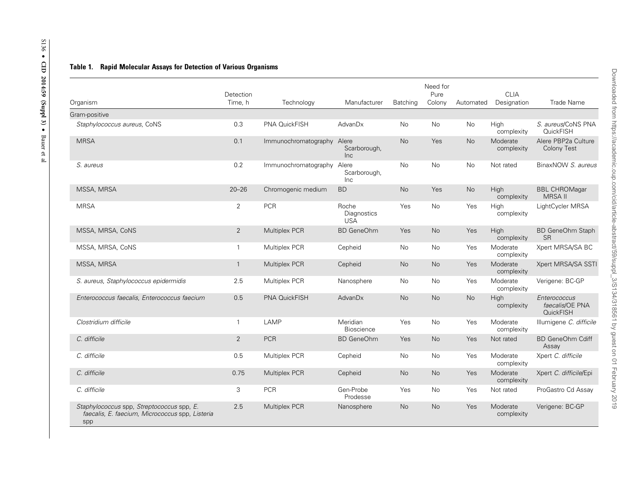# <span id="page-2-0"></span>Table 1. Rapid Molecular Assays for Detection of Various Organisms

|                                                                                                     | Detection      |                            |                                      |           | Need for<br>Pure |           | CLIA                      |                                              |
|-----------------------------------------------------------------------------------------------------|----------------|----------------------------|--------------------------------------|-----------|------------------|-----------|---------------------------|----------------------------------------------|
| Organism                                                                                            | Time, h        | Technology                 | Manufacturer                         | Batching  | Colony           | Automated | Designation               | Trade Name                                   |
| Gram-positive                                                                                       |                |                            |                                      |           |                  |           |                           |                                              |
| Staphylococcus aureus, CoNS                                                                         | 0.3            | PNA QuickFISH              | AdvanDx                              | <b>No</b> | No               | No        | <b>High</b><br>complexity | S. aureus/CoNS PNA<br>QuickFISH              |
| <b>MRSA</b>                                                                                         | 0.1            | Immunochromatography Alere | Scarborough,<br>Inc                  | <b>No</b> | Yes              | <b>No</b> | Moderate<br>complexity    | Alere PBP2a Culture<br>Colony Test           |
| S. aureus                                                                                           | 0.2            | Immunochromatography       | Alere<br>Scarborough,<br>lnc         | <b>No</b> | <b>No</b>        | <b>No</b> | Not rated                 | BinaxNOW S. aureus                           |
| MSSA, MRSA                                                                                          | $20 - 26$      | Chromogenic medium         | <b>BD</b>                            | <b>No</b> | Yes              | No        | High<br>complexity        | <b>BBL CHROMagar</b><br>MRSA II              |
| <b>MRSA</b>                                                                                         | $\overline{2}$ | <b>PCR</b>                 | Roche<br>Diagnostics<br><b>USA</b>   | Yes       | <b>No</b>        | Yes       | High<br>complexity        | LightCycler MRSA                             |
| MSSA, MRSA, CoNS                                                                                    | $\overline{2}$ | Multiplex PCR              | <b>BD</b> GeneOhm                    | Yes       | <b>No</b>        | Yes       | High<br>complexity        | <b>BD GeneOhm Staph</b><br><b>SR</b>         |
| MSSA, MRSA, CoNS                                                                                    | $\mathbf{1}$   | <b>Multiplex PCR</b>       | Cepheid                              | <b>No</b> | No               | Yes       | Moderate<br>complexity    | Xpert MRSA/SA BC                             |
| MSSA, MRSA                                                                                          | $\mathbf{1}$   | Multiplex PCR              | Cepheid                              | <b>No</b> | <b>No</b>        | Yes       | Moderate<br>complexity    | Xpert MRSA/SA SSTI                           |
| S. aureus, Staphylococcus epidermidis                                                               | 2.5            | Multiplex PCR              | Nanosphere                           | No        | No               | Yes       | Moderate<br>complexity    | Verigene: BC-GP                              |
| Enterococcus faecalis, Enterococcus faecium                                                         | 0.5            | PNA QuickFISH              | AdvanDx                              | No        | <b>No</b>        | No        | High<br>complexity        | Enterococcus<br>faecalis/OE PNA<br>QuickFISH |
| Clostridium difficile                                                                               | $\mathbf{1}$   | LAMP                       | <b>Meridian</b><br><b>Bioscience</b> | Yes       | No               | Yes       | Moderate<br>complexity    | Illumigene C. difficile                      |
| C. difficile                                                                                        | $\overline{2}$ | <b>PCR</b>                 | <b>BD</b> GeneOhm                    | Yes       | <b>No</b>        | Yes       | Not rated                 | <b>BD GeneOhm Cdiff</b><br>Assay             |
| C. difficile                                                                                        | 0.5            | Multiplex PCR              | Cepheid                              | <b>No</b> | No               | Yes       | Moderate<br>complexity    | Xpert C. difficile                           |
| C. difficile                                                                                        | 0.75           | <b>Multiplex PCR</b>       | Cepheid                              | <b>No</b> | No               | Yes       | Moderate<br>complexity    | Xpert C. difficile/Epi                       |
| C. difficile                                                                                        | 3              | <b>PCR</b>                 | Gen-Probe<br>Prodesse                | Yes       | No               | Yes       | Not rated                 | ProGastro Cd Assay                           |
| Staphylococcus spp, Streptococcus spp, E.<br>faecalis, E. faecium, Micrococcus spp, Listeria<br>spp | 2.5            | Multiplex PCR              | Nanosphere                           | <b>No</b> | <b>No</b>        | Yes       | Moderate<br>complexity    | Verigene: BC-GP                              |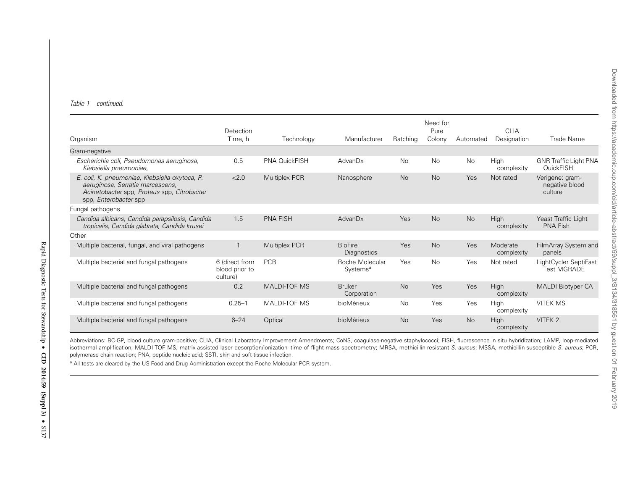#### Table 1 continued.

|                                                                                                                                                            |                                              |                      |                                         |           | Need for       |            |                            |                                              |
|------------------------------------------------------------------------------------------------------------------------------------------------------------|----------------------------------------------|----------------------|-----------------------------------------|-----------|----------------|------------|----------------------------|----------------------------------------------|
| Organism                                                                                                                                                   | Detection<br>Time, h                         | Technology           | Manufacturer                            | Batching  | Pure<br>Colony | Automated  | <b>CLIA</b><br>Designation | Trade Name                                   |
| Gram-negative                                                                                                                                              |                                              |                      |                                         |           |                |            |                            |                                              |
| Escherichia coli, Pseudomonas aeruginosa,<br>Klebsiella pneumoniae,                                                                                        | 0.5                                          | <b>PNA QuickFISH</b> | AdvanDx                                 | <b>No</b> | No             | <b>No</b>  | <b>High</b><br>complexity  | <b>GNR Traffic Light PNA</b><br>QuickFISH    |
| E. coli, K. pneumoniae, Klebsiella oxytoca, P.<br>aeruginosa, Serratia marcescens,<br>Acinetobacter spp, Proteus spp, Citrobacter<br>spp, Enterobacter spp | 2.0                                          | <b>Multiplex PCR</b> | Nanosphere                              | <b>No</b> | <b>No</b>      | Yes        | Not rated                  | Verigene: gram-<br>negative blood<br>culture |
| Fungal pathogens                                                                                                                                           |                                              |                      |                                         |           |                |            |                            |                                              |
| Candida albicans, Candida parapsilosis, Candida<br>tropicalis, Candida glabrata, Candida krusei                                                            | 1.5                                          | <b>PNA FISH</b>      | AdvanDx                                 | Yes       | <b>No</b>      | <b>No</b>  | <b>High</b><br>complexity  | Yeast Traffic Light<br><b>PNA Fish</b>       |
| Other                                                                                                                                                      |                                              |                      |                                         |           |                |            |                            |                                              |
| Multiple bacterial, fungal, and viral pathogens                                                                                                            | 1                                            | <b>Multiplex PCR</b> | <b>BioFire</b><br>Diagnostics           | Yes       | <b>No</b>      | <b>Yes</b> | Moderate<br>complexity     | FilmArray System and<br>panels               |
| Multiple bacterial and fungal pathogens                                                                                                                    | 6 (direct from<br>blood prior to<br>culture) | <b>PCR</b>           | Roche Molecular<br>Systems <sup>a</sup> | Yes       | <b>No</b>      | Yes        | Not rated                  | LightCycler SeptiFast<br><b>Test MGRADE</b>  |
| Multiple bacterial and fungal pathogens                                                                                                                    | 0.2                                          | <b>MALDI-TOF MS</b>  | <b>Bruker</b><br>Corporation            | <b>No</b> | Yes            | Yes        | <b>High</b><br>complexity  | <b>MALDI Biotyper CA</b>                     |
| Multiple bacterial and fungal pathogens                                                                                                                    | $0.25 - 1$                                   | <b>MALDI-TOF MS</b>  | bioMérieux                              | <b>No</b> | Yes            | Yes        | High<br>complexity         | <b>VITEK MS</b>                              |
| Multiple bacterial and fungal pathogens                                                                                                                    | $6 - 24$                                     | Optical              | bioMérieux                              | <b>No</b> | Yes            | <b>No</b>  | <b>High</b><br>complexity  | VITEK <sub>2</sub>                           |

Abbreviations: BC-GP, blood culture gram-positive; CLIA, Clinical Laboratory Improvement Amendments; CoNS, coagulase-negative staphylococci; FISH, fluorescence in situ hybridization; LAMP, loop-mediated isothermal amplification; MALDI-TOF MS, matrix-assisted laser desorption/ionization-time of flight mass spectrometry; MRSA, methicillin-resistant S. aureus; MSSA, methicillin-susceptible S. aureus; PCR, polymerase chain reaction; PNA, peptide nucleic acid; SSTI, skin and soft tissue infection.

<sup>a</sup> All tests are cleared by the US Food and Drug Administration except the Roche Molecular PCR system.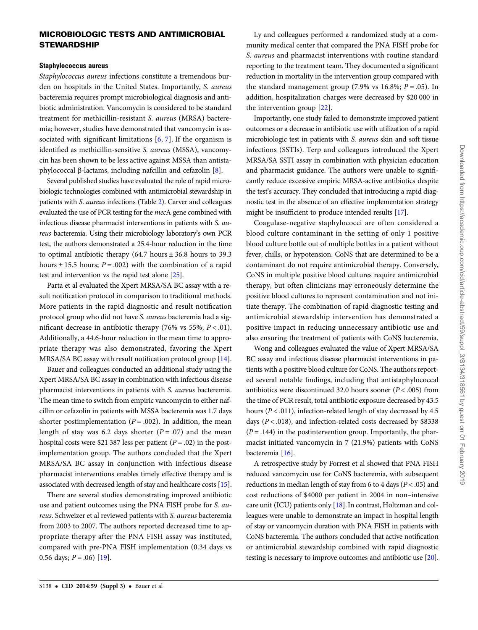# MICROBIOLOGIC TESTS AND ANTIMICROBIAL STEWARDSHIP

#### Staphylococcus aureus

Staphylococcus aureus infections constitute a tremendous burden on hospitals in the United States. Importantly, S. aureus bacteremia requires prompt microbiological diagnosis and antibiotic administration. Vancomycin is considered to be standard treatment for methicillin-resistant S. aureus (MRSA) bacteremia; however, studies have demonstrated that vancomycin is associated with significant limitations [[6](#page-10-0), [7\]](#page-10-0). If the organism is identified as methicillin-sensitive S. aureus (MSSA), vancomycin has been shown to be less active against MSSA than antistaphylococcal β-lactams, including nafcillin and cefazolin [\[8\]](#page-10-0).

Several published studies have evaluated the role of rapid microbiologic technologies combined with antimicrobial stewardship in patients with S. aureus infections (Table [2\)](#page-6-0). Carver and colleagues evaluated the use of PCR testing for the mecA gene combined with infectious disease pharmacist interventions in patients with S. aureus bacteremia. Using their microbiology laboratory's own PCR test, the authors demonstrated a 25.4-hour reduction in the time to optimal antibiotic therapy (64.7 hours  $\pm$  36.8 hours to 39.3 hours  $\pm$  15.5 hours;  $P = .002$ ) with the combination of a rapid test and intervention vs the rapid test alone [\[25](#page-10-0)].

Parta et al evaluated the Xpert MRSA/SA BC assay with a result notification protocol in comparison to traditional methods. More patients in the rapid diagnostic and result notification protocol group who did not have S. aureus bacteremia had a significant decrease in antibiotic therapy (76% vs 55%;  $P < .01$ ). Additionally, a 44.6-hour reduction in the mean time to appropriate therapy was also demonstrated, favoring the Xpert MRSA/SA BC assay with result notification protocol group [\[14\]](#page-10-0).

Bauer and colleagues conducted an additional study using the Xpert MRSA/SA BC assay in combination with infectious disease pharmacist interventions in patients with S. aureus bacteremia. The mean time to switch from empiric vancomycin to either nafcillin or cefazolin in patients with MSSA bacteremia was 1.7 days shorter postimplementation ( $P = .002$ ). In addition, the mean length of stay was 6.2 days shorter  $(P = .07)$  and the mean hospital costs were \$21 387 less per patient ( $P = .02$ ) in the postimplementation group. The authors concluded that the Xpert MRSA/SA BC assay in conjunction with infectious disease pharmacist interventions enables timely effective therapy and is associated with decreased length of stay and healthcare costs [[15\]](#page-10-0).

There are several studies demonstrating improved antibiotic use and patient outcomes using the PNA FISH probe for S. aureus. Schweizer et al reviewed patients with S. aureus bacteremia from 2003 to 2007. The authors reported decreased time to appropriate therapy after the PNA FISH assay was instituted, compared with pre-PNA FISH implementation (0.34 days vs 0.56 days;  $P = .06$ ) [\[19](#page-10-0)].

Ly and colleagues performed a randomized study at a community medical center that compared the PNA FISH probe for S. aureus and pharmacist interventions with routine standard reporting to the treatment team. They documented a significant reduction in mortality in the intervention group compared with the standard management group (7.9% vs 16.8%;  $P = .05$ ). In addition, hospitalization charges were decreased by \$20 000 in the intervention group [\[22\]](#page-10-0).

Importantly, one study failed to demonstrate improved patient outcomes or a decrease in antibiotic use with utilization of a rapid microbiologic test in patients with S. aureus skin and soft tissue infections (SSTIs). Terp and colleagues introduced the Xpert MRSA/SA SSTI assay in combination with physician education and pharmacist guidance. The authors were unable to significantly reduce excessive empiric MRSA-active antibiotics despite the test's accuracy. They concluded that introducing a rapid diagnostic test in the absence of an effective implementation strategy might be insufficient to produce intended results [\[17](#page-10-0)].

Coagulase-negative staphylococci are often considered a blood culture contaminant in the setting of only 1 positive blood culture bottle out of multiple bottles in a patient without fever, chills, or hypotension. CoNS that are determined to be a contaminant do not require antimicrobial therapy. Conversely, CoNS in multiple positive blood cultures require antimicrobial therapy, but often clinicians may erroneously determine the positive blood cultures to represent contamination and not initiate therapy. The combination of rapid diagnostic testing and antimicrobial stewardship intervention has demonstrated a positive impact in reducing unnecessary antibiotic use and also ensuring the treatment of patients with CoNS bacteremia.

Wong and colleagues evaluated the value of Xpert MRSA/SA BC assay and infectious disease pharmacist interventions in patients with a positive blood culture for CoNS. The authors reported several notable findings, including that antistaphylococcal antibiotics were discontinued 32.0 hours sooner ( $P < .005$ ) from the time of PCR result, total antibiotic exposure decreased by 43.5 hours ( $P < .011$ ), infection-related length of stay decreased by 4.5 days ( $P < .018$ ), and infection-related costs decreased by \$8338  $(P = .144)$  in the postintervention group. Importantly, the pharmacist initiated vancomycin in 7 (21.9%) patients with CoNS bacteremia [\[16](#page-10-0)].

A retrospective study by Forrest et al showed that PNA FISH reduced vancomycin use for CoNS bacteremia, with subsequent reductions in median length of stay from 6 to 4 days ( $P < .05$ ) and cost reductions of \$4000 per patient in 2004 in non–intensive care unit (ICU) patients only [[18\]](#page-10-0). In contrast, Holtzman and colleagues were unable to demonstrate an impact in hospital length of stay or vancomycin duration with PNA FISH in patients with CoNS bacteremia. The authors concluded that active notification or antimicrobial stewardship combined with rapid diagnostic testing is necessary to improve outcomes and antibiotic use [[20\]](#page-10-0).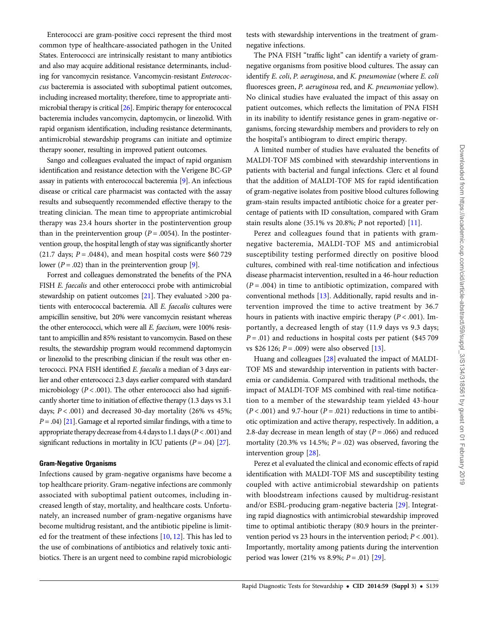Enterococci are gram-positive cocci represent the third most common type of healthcare-associated pathogen in the United States. Enterococci are intrinsically resistant to many antibiotics and also may acquire additional resistance determinants, including for vancomycin resistance. Vancomycin-resistant Enterococcus bacteremia is associated with suboptimal patient outcomes, including increased mortality; therefore, time to appropriate antimicrobial therapy is critical [[26\]](#page-10-0). Empiric therapy for enterococcal bacteremia includes vancomycin, daptomycin, or linezolid. With rapid organism identification, including resistance determinants, antimicrobial stewardship programs can initiate and optimize therapy sooner, resulting in improved patient outcomes.

Sango and colleagues evaluated the impact of rapid organism identification and resistance detection with the Verigene BC-GP assay in patients with enterococcal bacteremia [\[9\]](#page-10-0). An infectious disease or critical care pharmacist was contacted with the assay results and subsequently recommended effective therapy to the treating clinician. The mean time to appropriate antimicrobial therapy was 23.4 hours shorter in the postintervention group than in the preintervention group ( $P = .0054$ ). In the postintervention group, the hospital length of stay was significantly shorter (21.7 days;  $P = .0484$ ), and mean hospital costs were \$60729 lower ( $P = .02$ ) than in the preintervention group [\[9\]](#page-10-0).

Forrest and colleagues demonstrated the benefits of the PNA FISH E. faecalis and other enterococci probe with antimicrobial stewardship on patient outcomes [[21\]](#page-10-0). They evaluated >200 patients with enterococcal bacteremia. All E. faecalis cultures were ampicillin sensitive, but 20% were vancomycin resistant whereas the other enterococci, which were all E. faecium, were 100% resistant to ampicillin and 85% resistant to vancomycin. Based on these results, the stewardship program would recommend daptomycin or linezolid to the prescribing clinician if the result was other enterococci. PNA FISH identified E. faecalis a median of 3 days earlier and other enterococci 2.3 days earlier compared with standard microbiology ( $P < .001$ ). The other enterococci also had significantly shorter time to initiation of effective therapy (1.3 days vs 3.1 days;  $P < .001$ ) and decreased 30-day mortality (26% vs 45%;  $P = .04$ ) [\[21\]](#page-10-0). Gamage et al reported similar findings, with a time to appropriate therapy decrease from 4.4 days to 1.1 days ( $P < .001$ ) and significant reductions in mortality in ICU patients  $(P = .04)$  [\[27\]](#page-10-0).

### Gram-Negative Organisms

Infections caused by gram-negative organisms have become a top healthcare priority. Gram-negative infections are commonly associated with suboptimal patient outcomes, including increased length of stay, mortality, and healthcare costs. Unfortunately, an increased number of gram-negative organisms have become multidrug resistant, and the antibiotic pipeline is limited for the treatment of these infections [\[10](#page-10-0), [12](#page-10-0)]. This has led to the use of combinations of antibiotics and relatively toxic antibiotics. There is an urgent need to combine rapid microbiologic

The PNA FISH "traffic light" can identify a variety of gramnegative organisms from positive blood cultures. The assay can identify E. coli, P. aeruginosa, and K. pneumoniae (where E. coli fluoresces green, P. aeruginosa red, and K. pneumoniae yellow). No clinical studies have evaluated the impact of this assay on patient outcomes, which reflects the limitation of PNA FISH in its inability to identify resistance genes in gram-negative organisms, forcing stewardship members and providers to rely on the hospital's antibiogram to direct empiric therapy.

A limited number of studies have evaluated the benefits of MALDI-TOF MS combined with stewardship interventions in patients with bacterial and fungal infections. Clerc et al found that the addition of MALDI-TOF MS for rapid identification of gram-negative isolates from positive blood cultures following gram-stain results impacted antibiotic choice for a greater percentage of patients with ID consultation, compared with Gram stain results alone (35.1% vs 20.8%; P not reported) [\[11](#page-10-0)].

Perez and colleagues found that in patients with gramnegative bacteremia, MALDI-TOF MS and antimicrobial susceptibility testing performed directly on positive blood cultures, combined with real-time notification and infectious disease pharmacist intervention, resulted in a 46-hour reduction  $(P = .004)$  in time to antibiotic optimization, compared with conventional methods [\[13](#page-10-0)]. Additionally, rapid results and intervention improved the time to active treatment by 36.7 hours in patients with inactive empiric therapy  $(P < .001)$ . Importantly, a decreased length of stay (11.9 days vs 9.3 days;  $P = .01$ ) and reductions in hospital costs per patient (\$45 709) vs \$26 126;  $P = .009$ ) were also observed [[13\]](#page-10-0).

Huang and colleagues [\[28](#page-10-0)] evaluated the impact of MALDI-TOF MS and stewardship intervention in patients with bacteremia or candidemia. Compared with traditional methods, the impact of MALDI-TOF MS combined with real-time notification to a member of the stewardship team yielded 43-hour  $(P < .001)$  and 9.7-hour  $(P = .021)$  reductions in time to antibiotic optimization and active therapy, respectively. In addition, a 2.8-day decrease in mean length of stay ( $P = .066$ ) and reduced mortality (20.3% vs 14.5%;  $P = .02$ ) was observed, favoring the intervention group [[28\]](#page-10-0).

Perez et al evaluated the clinical and economic effects of rapid identification with MALDI-TOF MS and susceptibility testing coupled with active antimicrobial stewardship on patients with bloodstream infections caused by multidrug-resistant and/or ESBL-producing gram-negative bacteria [[29\]](#page-10-0). Integrating rapid diagnostics with antimicrobial stewardship improved time to optimal antibiotic therapy (80.9 hours in the preintervention period vs 23 hours in the intervention period;  $P < .001$ ). Importantly, mortality among patients during the intervention period was lower (21% vs 8.9%;  $P = .01$ ) [[29](#page-10-0)].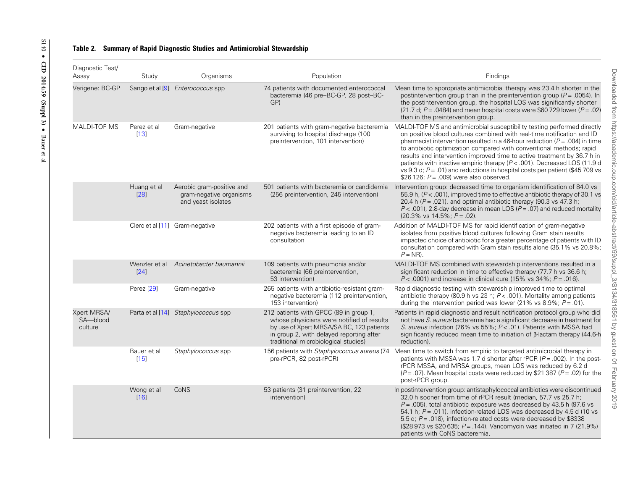# <span id="page-6-0"></span>Table 2. Summary of Rapid Diagnostic Studies and Antimicrobial Stewardship

| Diagnostic Test/<br>Assay          | Study                   | Organisms                                                                  | Population                                                                                                                                                                                                          | Findings                                                                                                                                                                                                                                                                                                                                                                                                                                                                                                                                                                                              |
|------------------------------------|-------------------------|----------------------------------------------------------------------------|---------------------------------------------------------------------------------------------------------------------------------------------------------------------------------------------------------------------|-------------------------------------------------------------------------------------------------------------------------------------------------------------------------------------------------------------------------------------------------------------------------------------------------------------------------------------------------------------------------------------------------------------------------------------------------------------------------------------------------------------------------------------------------------------------------------------------------------|
| Verigene: BC-GP                    |                         | Sango et al [9] Enterococcus spp                                           | 74 patients with documented enterococcal<br>bacteremia (46 pre-BC-GP, 28 post-BC-<br>GP)                                                                                                                            | Mean time to appropriate antimicrobial therapy was 23.4 h shorter in the<br>postintervention group than in the preintervention group ( $P = .0054$ ). In<br>the postintervention group, the hospital LOS was significantly shorter<br>(21.7 d; $P = 0.0484$ ) and mean hospital costs were \$60 729 lower ( $P = 0.02$ )<br>than in the preintervention group.                                                                                                                                                                                                                                        |
| MALDI-TOF MS                       | Perez et al<br>$[13]$   | Gram-negative                                                              | 201 patients with gram-negative bacteremia<br>surviving to hospital discharge (100<br>preintervention, 101 intervention)                                                                                            | MALDI-TOF MS and antimicrobial susceptibility testing performed directly<br>on positive blood cultures combined with real-time notification and ID<br>pharmacist intervention resulted in a 46-hour reduction ( $P = .004$ ) in time<br>to antibiotic optimization compared with conventional methods; rapid<br>results and intervention improved time to active treatment by 36.7 h in<br>patients with inactive empiric therapy (P < . 001). Decreased LOS (11.9 d<br>vs 9.3 d; $P = .01$ ) and reductions in hospital costs per patient (\$45 709 vs<br>\$26 126; $P = .009$ ) were also observed. |
|                                    | Huang et al<br>[28]     | Aerobic gram-positive and<br>gram-negative organisms<br>and yeast isolates | 501 patients with bacteremia or candidemia<br>(256 preintervention, 245 intervention)                                                                                                                               | Intervention group: decreased time to organism identification of 84.0 vs<br>55.9 h, (P < .001), improved time to effective antibiotic therapy of 30.1 vs<br>20.4 h ( $P = 021$ ), and optimal antibiotic therapy (90.3 vs 47.3 h;<br>$P < .001$ ), 2.8-day decrease in mean LOS ( $P = .07$ ) and reduced mortality<br>$(20.3\% \text{ vs } 14.5\%; P=.02).$                                                                                                                                                                                                                                          |
|                                    |                         | Clerc et al [11] Gram-negative                                             | 202 patients with a first episode of gram-<br>negative bacteremia leading to an ID<br>consultation                                                                                                                  | Addition of MALDI-TOF MS for rapid identification of gram-negative<br>isolates from positive blood cultures following Gram stain results<br>impacted choice of antibiotic for a greater percentage of patients with ID<br>consultation compared with Gram stain results alone (35.1% vs 20.8%;<br>$P = NR$ ).                                                                                                                                                                                                                                                                                         |
|                                    | Wenzler et al<br>$[24]$ | Acinetobacter baumannii                                                    | 109 patients with pneumonia and/or<br>bacteremia (66 preintervention,<br>53 intervention)                                                                                                                           | MALDI-TOF MS combined with stewardship interventions resulted in a<br>significant reduction in time to effective therapy (77.7 h vs 36.6 h;<br>$P < .0001$ ) and increase in clinical cure (15% vs 34%; $P = .016$ ).                                                                                                                                                                                                                                                                                                                                                                                 |
|                                    | Perez [29]              | Gram-negative                                                              | 265 patients with antibiotic-resistant gram-<br>negative bacteremia (112 preintervention,<br>153 intervention)                                                                                                      | Rapid diagnostic testing with stewardship improved time to optimal<br>antibiotic therapy (80.9 h vs 23 h; $P < .001$ ). Mortality among patients<br>during the intervention period was lower (21% vs 8.9%; $P = .01$ ).                                                                                                                                                                                                                                                                                                                                                                               |
| Xpert MRSA/<br>SA-blood<br>culture |                         | Parta et al [14] Staphylococcus spp                                        | 212 patients with GPCC (89 in group 1,<br>whose physicians were notified of results<br>by use of Xpert MRSA/SA BC, 123 patients<br>in group 2, with delayed reporting after<br>traditional microbiological studies) | Patients in rapid diagnostic and result notification protocol group who did<br>not have S. aureus bacteremia had a significant decrease in treatment for<br>S. aureus infection (76% vs 55%; P < .01). Patients with MSSA had<br>significantly reduced mean time to initiation of $\beta$ -lactam therapy (44.6-h<br>reduction).                                                                                                                                                                                                                                                                      |
|                                    | Bauer et al<br>$[15]$   | Staphylococcus spp                                                         | 156 patients with Staphylococcus aureus (74<br>pre-rPCR, 82 post-rPCR)                                                                                                                                              | Mean time to switch from empiric to targeted antimicrobial therapy in<br>patients with MSSA was 1.7 d shorter after rPCR ( $P = .002$ ). In the post-<br>rPCR MSSA, and MRSA groups, mean LOS was reduced by 6.2 d<br>( $P = .07$ ). Mean hospital costs were reduced by \$21 387 ( $P = .02$ ) for the<br>post-rPCR group.                                                                                                                                                                                                                                                                           |
|                                    | Wong et al<br>[16]      | CoNS                                                                       | 53 patients (31 preintervention, 22<br>intervention)                                                                                                                                                                | In postintervention group: antistaphylococcal antibiotics were discontinued<br>32.0 h sooner from time of rPCR result (median, 57.7 vs 25.7 h;<br>$P = .005$ ), total antibiotic exposure was decreased by 43.5 h (97.6 vs<br>54.1 h; P = .011), infection-related LOS was decreased by 4.5 d (10 vs<br>5.5 d; P = .018), infection-related costs were decreased by \$8338<br>$($28973 \text{ vs } $20635; P = .144).$ Vancomycin was initiated in 7 (21.9%)<br>patients with CoNS bacteremia.                                                                                                        |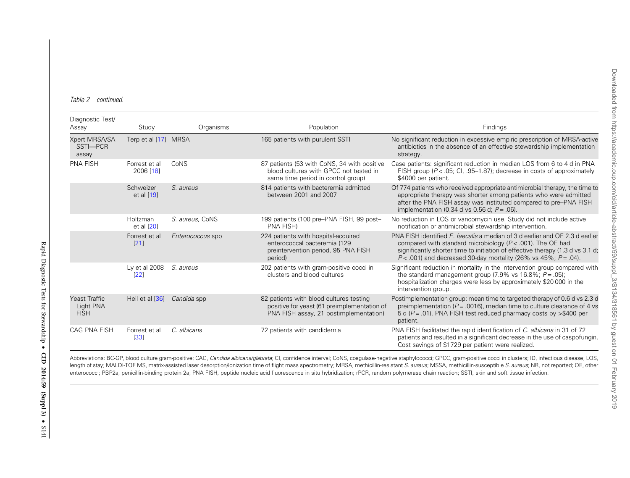Table 2 continued.

| Diagnostic Test/<br>Assay                 | Study                      | Organisms        | Population                                                                                                                       | Findings                                                                                                                                                                                                                                                                                                  |
|-------------------------------------------|----------------------------|------------------|----------------------------------------------------------------------------------------------------------------------------------|-----------------------------------------------------------------------------------------------------------------------------------------------------------------------------------------------------------------------------------------------------------------------------------------------------------|
| Xpert MRSA/SA<br>SSTI-PCR<br>assay        | Terp et al [17] MRSA       |                  | 165 patients with purulent SSTI                                                                                                  | No significant reduction in excessive empiric prescription of MRSA-active<br>antibiotics in the absence of an effective stewardship implementation<br>strategy.                                                                                                                                           |
| <b>PNA FISH</b>                           | Forrest et al<br>2006 [18] | CoNS             | 87 patients (53 with CoNS, 34 with positive<br>blood cultures with GPCC not tested in<br>same time period in control group)      | Case patients: significant reduction in median LOS from 6 to 4 d in PNA<br>FISH group ( $P < .05$ ; CI, .95–1.87); decrease in costs of approximately<br>\$4000 per patient.                                                                                                                              |
|                                           | Schweizer<br>et al [19]    | S. aureus        | 814 patients with bacteremia admitted<br>between 2001 and 2007                                                                   | Of 774 patients who received appropriate antimicrobial therapy, the time to<br>appropriate therapy was shorter among patients who were admitted<br>after the PNA FISH assay was instituted compared to pre-PNA FISH<br>implementation (0.34 d vs 0.56 d; $P = .06$ ).                                     |
|                                           | Holtzman<br>et al [20]     | S. aureus. CoNS  | 199 patients (100 pre-PNA FISH, 99 post-<br>PNA FISH)                                                                            | No reduction in LOS or vancomycin use. Study did not include active<br>notification or antimicrobial stewardship intervention.                                                                                                                                                                            |
|                                           | Forrest et al<br>[21]      | Enterococcus spp | 224 patients with hospital-acquired<br>enterococcal bacteremia (129<br>preintervention period, 95 PNA FISH<br>period)            | PNA FISH identified E, faecalis a median of 3 d earlier and OE 2.3 d earlier<br>compared with standard microbiology ( $P < .001$ ). The OE had<br>significantly shorter time to initiation of effective therapy (1.3 d vs 3.1 d;<br>$P < .001$ ) and decreased 30-day mortality (26% vs 45%; $P = .04$ ). |
|                                           | Ly et al 2008<br>[22]      | S. aureus        | 202 patients with gram-positive cocci in<br>clusters and blood cultures                                                          | Significant reduction in mortality in the intervention group compared with<br>the standard management group (7.9% vs 16.8%; $P = .05$ );<br>hospitalization charges were less by approximately \$20,000 in the<br>intervention group.                                                                     |
| Yeast Traffic<br>Light PNA<br><b>FISH</b> | Heil et al [36]            | Candida spp      | 82 patients with blood cultures testing<br>positive for yeast (61 preimplementation of<br>PNA FISH assay, 21 postimplementation) | Postimplementation group: mean time to targeted therapy of 0.6 d vs 2.3 d<br>preimplementation ( $P = 0.0016$ ), median time to culture clearance of 4 vs<br>5 d ( $P = .01$ ). PNA FISH test reduced pharmacy costs by >\$400 per<br>patient.                                                            |
| <b>CAG PNA FISH</b>                       | Forrest et al<br>[33]      | C. albicans      | 72 patients with candidemia                                                                                                      | PNA FISH facilitated the rapid identification of C. albicans in 31 of 72<br>patients and resulted in a significant decrease in the use of caspofungin.<br>Cost savings of \$1729 per patient were realized.                                                                                               |

Abbreviations: BC-GP, blood culture gram-positive; CAG, Candida albicans/glabrata; CI, confidence interval; CoNS, coagulase-negative staphylococci; GPCC, gram-positive cocci in clusters; ID, infectious disease; LOS, length of stay; MALDI-TOF MS, matrix-assisted laser desorption/ionization time of flight mass spectrometry; MRSA, methicillin-resistant S. aureus; MSSA, methicillin-susceptible S. aureus; NR, not reported; OE, other enterococci; PBP2a, penicillin-binding protein 2a; PNA FISH, peptide nucleic acid fluorescence in situ hybridization; rPCR, random polymerase chain reaction; SSTI, skin and soft tissue infection.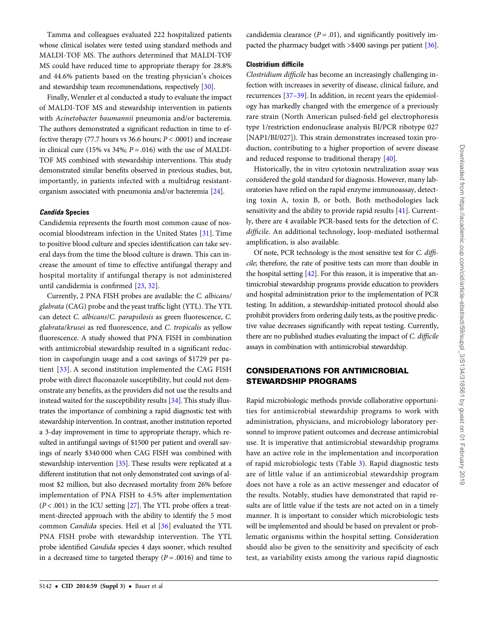Tamma and colleagues evaluated 222 hospitalized patients whose clinical isolates were tested using standard methods and MALDI-TOF MS. The authors determined that MALDI-TOF MS could have reduced time to appropriate therapy for 28.8% and 44.6% patients based on the treating physician's choices and stewardship team recommendations, respectively [\[30](#page-10-0)].

Finally, Wenzler et al conducted a study to evaluate the impact of MALDI-TOF MS and stewardship intervention in patients with Acinetobacter baumannii pneumonia and/or bacteremia. The authors demonstrated a significant reduction in time to effective therapy (77.7 hours vs 36.6 hours;  $P < .0001$ ) and increase in clinical cure (15% vs 34%;  $P = .016$ ) with the use of MALDI-TOF MS combined with stewardship interventions. This study demonstrated similar benefits observed in previous studies, but, importantly, in patients infected with a multidrug resistantorganism associated with pneumonia and/or bacteremia [[24\]](#page-10-0).

#### Candida Species

Candidemia represents the fourth most common cause of nosocomial bloodstream infection in the United States [\[31](#page-10-0)]. Time to positive blood culture and species identification can take several days from the time the blood culture is drawn. This can increase the amount of time to effective antifungal therapy and hospital mortality if antifungal therapy is not administered until candidemia is confirmed [\[23,](#page-10-0) [32\]](#page-10-0).

Currently, 2 PNA FISH probes are available: the C. albicans/ glabrata (CAG) probe and the yeast traffic light (YTL). The YTL can detect C. albicans/C. parapsilosis as green fluorescence, C. glabrata/krusei as red fluorescence, and C. tropicalis as yellow fluorescence. A study showed that PNA FISH in combination with antimicrobial stewardship resulted in a significant reduction in caspofungin usage and a cost savings of \$1729 per patient [[33](#page-10-0)]. A second institution implemented the CAG FISH probe with direct fluconazole susceptibility, but could not demonstrate any benefits, as the providers did not use the results and instead waited for the susceptibility results [[34\]](#page-10-0). This study illustrates the importance of combining a rapid diagnostic test with stewardship intervention. In contrast, another institution reported a 3-day improvement in time to appropriate therapy, which resulted in antifungal savings of \$1500 per patient and overall savings of nearly \$340 000 when CAG FISH was combined with stewardship intervention [\[35](#page-10-0)]. These results were replicated at a different institution that not only demonstrated cost savings of almost \$2 million, but also decreased mortality from 26% before implementation of PNA FISH to 4.5% after implementation  $(P < .001)$  in the ICU setting [\[27](#page-10-0)]. The YTL probe offers a treatment-directed approach with the ability to identify the 5 most common Candida species. Heil et al [[36](#page-10-0)] evaluated the YTL PNA FISH probe with stewardship intervention. The YTL probe identified Candida species 4 days sooner, which resulted in a decreased time to targeted therapy  $(P = .0016)$  and time to

S142 • CID 2014:59 (Suppl 3) • Bauer et al

candidemia clearance  $(P = .01)$ , and significantly positively impacted the pharmacy budget with >\$400 savings per patient [\[36\]](#page-10-0).

## Clostridium difficile

Clostridium difficile has become an increasingly challenging infection with increases in severity of disease, clinical failure, and recurrences [\[37](#page-10-0)–[39](#page-11-0)]. In addition, in recent years the epidemiology has markedly changed with the emergence of a previously rare strain (North American pulsed-field gel electrophoresis type 1/restriction endonuclease analysis BI/PCR ribotype 027 [NAP1/BI/027]). This strain demonstrates increased toxin production, contributing to a higher proportion of severe disease and reduced response to traditional therapy [\[40\]](#page-11-0).

Historically, the in vitro cytotoxin neutralization assay was considered the gold standard for diagnosis. However, many laboratories have relied on the rapid enzyme immunoassay, detecting toxin A, toxin B, or both. Both methodologies lack sensitivity and the ability to provide rapid results [[41](#page-11-0)]. Currently, there are 4 available PCR-based tests for the detection of C. difficile. An additional technology, loop-mediated isothermal amplification, is also available.

Of note, PCR technology is the most sensitive test for C. difficile; therefore, the rate of positive tests can more than double in the hospital setting [[42\]](#page-11-0). For this reason, it is imperative that antimicrobial stewardship programs provide education to providers and hospital administration prior to the implementation of PCR testing. In addition, a stewardship-initiated protocol should also prohibit providers from ordering daily tests, as the positive predictive value decreases significantly with repeat testing. Currently, there are no published studies evaluating the impact of C. difficile assays in combination with antimicrobial stewardship.

# CONSIDERATIONS FOR ANTIMICROBIAL STEWARDSHIP PROGRAMS

Rapid microbiologic methods provide collaborative opportunities for antimicrobial stewardship programs to work with administration, physicians, and microbiology laboratory personnel to improve patient outcomes and decrease antimicrobial use. It is imperative that antimicrobial stewardship programs have an active role in the implementation and incorporation of rapid microbiologic tests (Table [3](#page-9-0)). Rapid diagnostic tests are of little value if an antimicrobial stewardship program does not have a role as an active messenger and educator of the results. Notably, studies have demonstrated that rapid results are of little value if the tests are not acted on in a timely manner. It is important to consider which microbiologic tests will be implemented and should be based on prevalent or problematic organisms within the hospital setting. Consideration should also be given to the sensitivity and specificity of each test, as variability exists among the various rapid diagnostic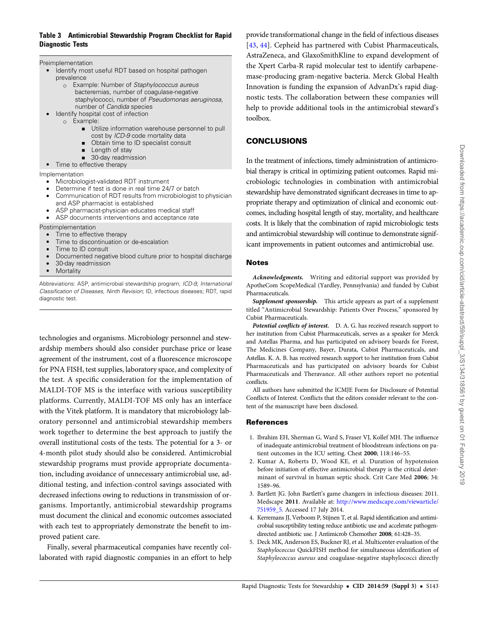## <span id="page-9-0"></span>Table 3 Antimicrobial Stewardship Program Checklist for Rapid Diagnostic Tests

Preimplementation

- Identify most useful RDT based on hospital pathogen prevalence
	- o Example: Number of Staphylococcus aureus bacteremias, number of coagulase-negative staphylococci, number of Pseudomonas aeruginosa, number of Candida species
- Identify hospital cost of infection
	- o Example:
		- **■** Utilize information warehouse personnel to pull cost by ICD-9 code mortality data
			- Obtain time to ID specialist consult
		- **E** Length of stay
		- 30-day readmission
- Time to effective therapy

Implementation

- Microbiologist-validated RDT instrument
- Determine if test is done in real time 24/7 or batch
- Communication of RDT results from microbiologist to physician and ASP pharmacist is established
- ASP pharmacist-physician educates medical staff
- ASP documents interventions and acceptance rate

**Postimplementation** 

- Time to effective therapy
- Time to discontinuation or de-escalation
- Time to ID consult
- Documented negative blood culture prior to hospital discharge
- 30-day readmission
- **Mortality**

Abbreviations: ASP, antimicrobial stewardship program; ICD-9, International Classification of Diseases, Ninth Revision; ID, infectious diseases; RDT, rapid diagnostic test.

technologies and organisms. Microbiology personnel and stewardship members should also consider purchase price or lease agreement of the instrument, cost of a fluorescence microscope for PNA FISH, test supplies, laboratory space, and complexity of the test. A specific consideration for the implementation of MALDI-TOF MS is the interface with various susceptibility platforms. Currently, MALDI-TOF MS only has an interface with the Vitek platform. It is mandatory that microbiology laboratory personnel and antimicrobial stewardship members work together to determine the best approach to justify the overall institutional costs of the tests. The potential for a 3- or 4-month pilot study should also be considered. Antimicrobial stewardship programs must provide appropriate documentation, including avoidance of unnecessary antimicrobial use, additional testing, and infection-control savings associated with decreased infections owing to reductions in transmission of organisms. Importantly, antimicrobial stewardship programs must document the clinical and economic outcomes associated with each test to appropriately demonstrate the benefit to improved patient care.

Finally, several pharmaceutical companies have recently collaborated with rapid diagnostic companies in an effort to help

provide transformational change in the field of infectious diseases [\[43,](#page-11-0) [44](#page-11-0)]. Cepheid has partnered with Cubist Pharmaceuticals, AstraZeneca, and GlaxoSmithKline to expand development of the Xpert Carba-R rapid molecular test to identify carbapenemase-producing gram-negative bacteria. Merck Global Health Innovation is funding the expansion of AdvanDx's rapid diagnostic tests. The collaboration between these companies will help to provide additional tools in the antimicrobial steward's toolbox.

# **CONCLUSIONS**

In the treatment of infections, timely administration of antimicrobial therapy is critical in optimizing patient outcomes. Rapid microbiologic technologies in combination with antimicrobial stewardship have demonstrated significant decreases in time to appropriate therapy and optimization of clinical and economic outcomes, including hospital length of stay, mortality, and healthcare costs. It is likely that the combination of rapid microbiologic tests and antimicrobial stewardship will continue to demonstrate significant improvements in patient outcomes and antimicrobial use.

#### **Notes**

Acknowledgments. Writing and editorial support was provided by ApotheCom ScopeMedical (Yardley, Pennsylvania) and funded by Cubist Pharmaceuticals.

Supplement sponsorship. This article appears as part of a supplement titled "Antimicrobial Stewardship: Patients Over Process," sponsored by Cubist Pharmaceuticals.

Potential conflicts of interest. D. A. G. has received research support to her institution from Cubist Pharmaceuticals, serves as a speaker for Merck and Astellas Pharma, and has participated on advisory boards for Forest, The Medicines Company, Bayer, Durata, Cubist Pharmaceuticals, and Astellas. K. A. B. has received research support to her institution from Cubist Pharmaceuticals and has participated on advisory boards for Cubist Pharmaceuticals and Theravance. All other authors report no potential conflicts.

All authors have submitted the ICMJE Form for Disclosure of Potential Conflicts of Interest. Conflicts that the editors consider relevant to the content of the manuscript have been disclosed.

#### References

- 1. Ibrahim EH, Sherman G, Ward S, Fraser VJ, Kollef MH. The influence of inadequate antimicrobial treatment of bloodstream infections on patient outcomes in the ICU setting. Chest 2000; 118:146–55.
- 2. Kumar A, Roberts D, Wood KE, et al. Duration of hypotension before initiation of effective antimicrobial therapy is the critical determinant of survival in human septic shock. Crit Care Med 2006; 34: 1589–96.
- 3. Bartlett JG. John Bartlett's game changers in infectious diseases: 2011. Medscape 2011. Available at: [http://www.medscape.com/viewarticle/](http://www.medscape.com/viewarticle/751959_5) [751959\\_5](http://www.medscape.com/viewarticle/751959_5). Accessed 17 July 2014.
- 4. Kerremans JJ, Verboom P, Stijnen T, et al. Rapid identification and antimicrobial susceptibility testing reduce antibiotic use and accelerate pathogendirected antibiotic use. J Antimicrob Chemother 2008; 61:428–35.
- 5. Deck MK, Anderson ES, Buckner RJ, et al. Multicenter evaluation of the Staphylococcus QuickFISH method for simultaneous identification of Staphylococcus aureus and coagulase-negative staphylococci directly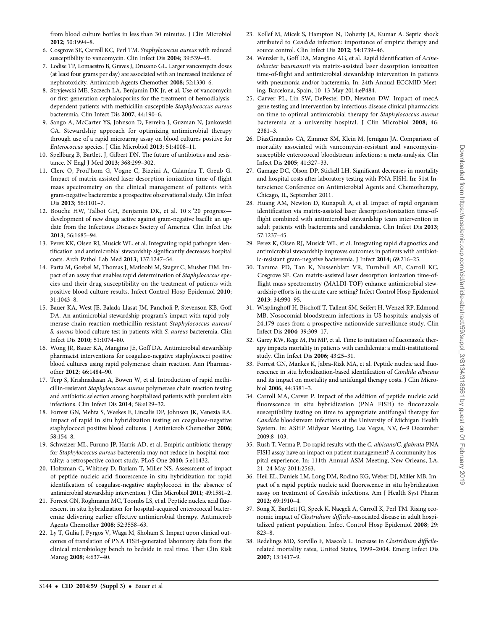<span id="page-10-0"></span>from blood culture bottles in less than 30 minutes. J Clin Microbiol 2012; 50:1994–8.

- 6. Cosgrove SE, Carroll KC, Perl TM. Staphylococcus aureus with reduced susceptibility to vancomycin. Clin Infect Dis 2004; 39:539–45.
- 7. Lodise TP, Lomaestro B, Graves J, Drusano GL. Larger vancomycin doses (at least four grams per day) are associated with an increased incidence of nephrotoxicity. Antimicrob Agents Chemother 2008; 52:1330–6.
- 8. Stryjewski ME, Szczech LA, Benjamin DK Jr, et al. Use of vancomycin or first-generation cephalosporins for the treatment of hemodialysisdependent patients with methicillin-susceptible Staphylococcus aureus bacteremia. Clin Infect Dis 2007; 44:190–6.
- 9. Sango A, McCarter YS, Johnson D, Ferreira J, Guzman N, Jankowski CA. Stewardship approach for optimizing antimicrobial therapy through use of a rapid microarray assay on blood cultures positive for Enterococcus species. J Clin Microbiol 2013; 51:4008–11.
- 10. Spellburg B, Bartlett J, Gilbert DN. The future of antibiotics and resistance. N Engl J Med 2013; 368:299–302.
- 11. Clerc O, Prod'hom G, Vogne C, Bizzini A, Calandra T, Greub G. Impact of matrix-assisted laser desorption ionization time-of-flight mass spectrometry on the clinical management of patients with gram-negative bacteremia: a prospective observational study. Clin Infect Dis 2013; 56:1101–7.
- 12. Bouche HW, Talbot GH, Benjamin DK, et al. 10 × '20 progress development of new drugs active against gram-negative bacilli: an update from the Infectious Diseases Society of America. Clin Infect Dis 2013; 56:1685–94.
- 13. Perez KK, Olsen RJ, Musick WL, et al. Integrating rapid pathogen identification and antimicrobial stewardship significantly decreases hospital costs. Arch Pathol Lab Med 2013; 137:1247–54.
- 14. Parta M, Goebel M, Thomas J, Matloobi M, Stager C, Musher DM. Impact of an assay that enables rapid determination of Staphylococcus species and their drug susceptibility on the treatment of patients with positive blood culture results. Infect Control Hosp Epidemiol 2010; 31:1043–8.
- 15. Bauer KA, West JE, Balada-Llasat JM, Pancholi P, Stevenson KB, Goff DA. An antimicrobial stewardship program's impact with rapid polymerase chain reaction methicillin-resistant Staphylococcus aureus/ S. aureus blood culture test in patients with S. aureus bacteremia. Clin Infect Dis 2010; 51:1074–80.
- 16. Wong JR, Bauer KA, Mangino JE, Goff DA. Antimicrobial stewardship pharmacist interventions for coagulase-negative staphylococci positive blood cultures using rapid polymerase chain reaction. Ann Pharmacother 2012; 46:1484–90.
- 17. Terp S, Krishnadasan A, Bowen W, et al. Introduction of rapid methicillin-resistant Staphylococcus aureus polymerase chain reaction testing and antibiotic selection among hospitalized patients with purulent skin infections. Clin Infect Dis 2014; 58:e129–32.
- 18. Forrest GN, Mehta S, Weekes E, Lincalis DP, Johnson JK, Venezia RA. Impact of rapid in situ hybridization testing on coagulase-negative staphylococci positive blood cultures. J Antimicrob Chemother 2006; 58:154–8.
- 19. Schweizer ML, Furuno JP, Harris AD, et al. Empiric antibiotic therapy for Staphylococcus aureus bacteremia may not reduce in-hospital mortality: a retrospective cohort study. PLoS One 2010; 5:e11432.
- 20. Holtzman C, Whitney D, Barlam T, Miller NS. Assessment of impact of peptide nucleic acid fluorescence in situ hybridization for rapid identification of coagulase-negative staphylococci in the absence of antimicrobial stewardship intervention. J Clin Microbiol 2011; 49:1581–2.
- 21. Forrest GN, Roghmann MC, Toombs LS, et al. Peptide nucleic acid fluorescent in situ hybridization for hospital-acquired enterococcal bacteremia: delivering earlier effective antimicrobial therapy. Antimicrob Agents Chemother 2008; 52:3558–63.
- 22. Ly T, Gulia J, Pyrgos V, Waga M, Shoham S. Impact upon clinical outcomes of translation of PNA FISH-generated laboratory data from the clinical microbiology bench to bedside in real time. Ther Clin Risk Manag 2008; 4:637–40.
- 23. Kollef M, Micek S, Hampton N, Doherty JA, Kumar A. Septic shock attributed to Candida infection: importance of empiric therapy and source control. Clin Infect Dis 2012; 54:1739–46.
- 24. Wenzler E, Goff DA, Mangino AG, et al. Rapid identification of Acinetobacter baumannii via matrix-assisted laser desorption ionization time-of-flight and antimicrobial stewardship intervention in patients with pneumonia and/or bacteremia. In: 24th Annual ECCMID Meeting, Barcelona, Spain, 10–13 May 2014:eP484.
- 25. Carver PL, Lin SW, DePestel DD, Newton DW. Impact of mecA gene testing and intervention by infectious disease clinical pharmacists on time to optimal antimicrobial therapy for Staphylococcus aureus bacteremia at a university hospital. J Clin Microbiol 2008; 46: 2381–3.
- 26. DiazGranados CA, Zimmer SM, Klein M, Jernigan JA. Comparison of mortality associated with vancomycin-resistant and vancomycinsusceptible enterococcal bloodstream infections: a meta-analysis. Clin Infect Dis 2005; 41:327–33.
- 27. Gamage DC, Olson DP, Stickell LH. Significant decreases in mortality and hospital costs after laboratory testing with PNA FISH. In: 51st Interscience Conference on Antimicrobial Agents and Chemotherapy, Chicago, IL, September 2011.
- 28. Huang AM, Newton D, Kunapuli A, et al. Impact of rapid organism identification via matrix-assisted laser desorption/ionization time-offlight combined with antimicrobial stewardship team intervention in adult patients with bacteremia and candidemia. Clin Infect Dis 2013; 57:1237–45.
- 29. Perez K, Olsen RJ, Musick WL, et al. Integrating rapid diagnostics and antimicrobial stewardship improves outcomes in patients with antibiotic-resistant gram-negative bacteremia. J Infect 2014; 69:216–25.
- 30. Tamma PD, Tan K, Nussenblatt VR, Turnbull AE, Carroll KC, Cosgrove SE. Can matrix-assisted laser desorption ionization time-offlight mass spectrometry (MALDI-TOF) enhance antimicrobial stewardship efforts in the acute care setting? Infect Control Hosp Epidemiol 2013; 34:990–95.
- 31. Wisplinghoff H, Bischoff T, Tallent SM, Seifert H, Wenzel RP, Edmond MB. Nosocomial bloodstream infections in US hospitals: analysis of 24,179 cases from a prospective nationwide surveillance study. Clin Infect Dis 2004; 39:309–17.
- 32. Garey KW, Rege M, Pai MP, et al. Time to initiation of fluconazole therapy impacts mortality in patients with candidemia: a multi-institutional study. Clin Infect Dis 2006; 43:25–31.
- 33. Forrest GN, Mankes K, Jabra-Rizk MA, et al. Peptide nucleic acid fluorescence in situ hybridization-based identification of Candida albicans and its impact on mortality and antifungal therapy costs. J Clin Microbiol 2006; 44:3381–3.
- 34. Carroll MA, Carver P. Impact of the addition of peptide nucleic acid fluorescence in situ hybridization (PNA FISH) to fluconazole susceptibility testing on time to appropriate antifungal therapy for Candida bloodstream infections at the University of Michigan Health System. In: ASHP Midyear Meeting, Las Vegas, NV, 6–9 December 2009:8–103.
- 35. Rush T, Verma P. Do rapid results with the C. albicans/C. glabrata PNA FISH assay have an impact on patient management? A community hospital experience. In: 111th Annual ASM Meeting, New Orleans, LA, 21–24 May 2011:2563.
- 36. Heil EL, Daniels LM, Long DM, Rodino KG, Weber DJ, Miller MB. Impact of a rapid peptide nucleic acid fluorescence in situ hybridization assay on treatment of Candida infections. Am J Health Syst Pharm 2012; 69:1910–4.
- 37. Song X, Bartlett JG, Speck K, Naegeli A, Carroll K, Perl TM. Rising economic impact of Clostridium difficile–associated disease in adult hospitalized patient population. Infect Control Hosp Epidemiol 2008; 29: 823–8.
- 38. Redelings MD, Sorvillo F, Mascola L. Increase in Clostridium difficilerelated mortality rates, United States, 1999–2004. Emerg Infect Dis 2007; 13:1417–9.